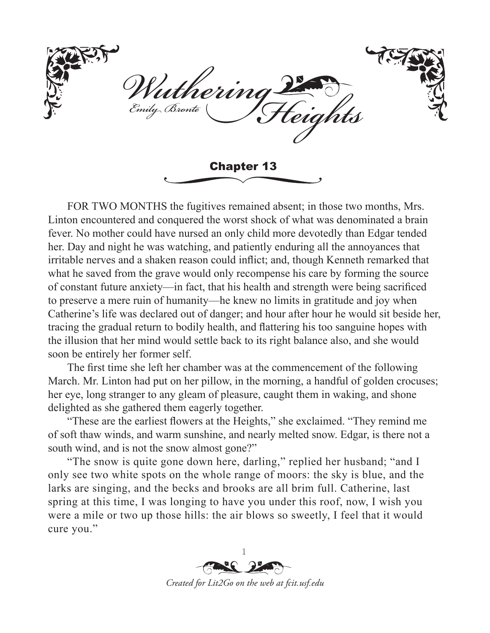herini rily Bronte riahts Chapter 13

FOR TWO MONTHS the fugitives remained absent; in those two months, Mrs. Linton encountered and conquered the worst shock of what was denominated a brain fever. No mother could have nursed an only child more devotedly than Edgar tended her. Day and night he was watching, and patiently enduring all the annoyances that irritable nerves and a shaken reason could inflict; and, though Kenneth remarked that what he saved from the grave would only recompense his care by forming the source of constant future anxiety—in fact, that his health and strength were being sacrificed to preserve a mere ruin of humanity—he knew no limits in gratitude and joy when Catherine's life was declared out of danger; and hour after hour he would sit beside her, tracing the gradual return to bodily health, and flattering his too sanguine hopes with the illusion that her mind would settle back to its right balance also, and she would soon be entirely her former self.

The first time she left her chamber was at the commencement of the following March. Mr. Linton had put on her pillow, in the morning, a handful of golden crocuses; her eye, long stranger to any gleam of pleasure, caught them in waking, and shone delighted as she gathered them eagerly together.

"These are the earliest flowers at the Heights," she exclaimed. "They remind me of soft thaw winds, and warm sunshine, and nearly melted snow. Edgar, is there not a south wind, and is not the snow almost gone?"

"The snow is quite gone down here, darling," replied her husband; "and I only see two white spots on the whole range of moors: the sky is blue, and the larks are singing, and the becks and brooks are all brim full. Catherine, last spring at this time, I was longing to have you under this roof, now, I wish you were a mile or two up those hills: the air blows so sweetly, I feel that it would cure you."

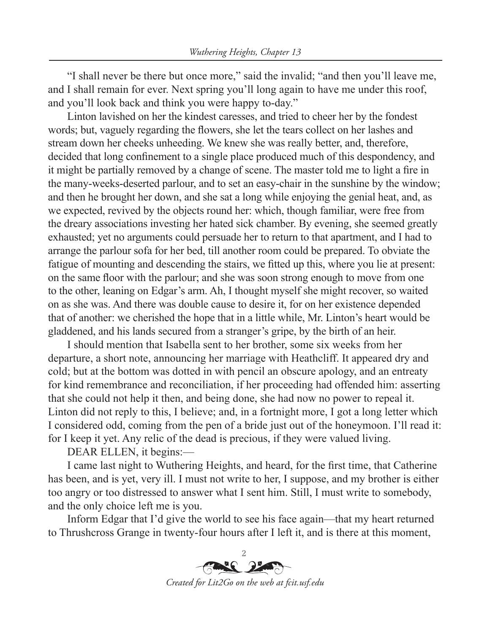"I shall never be there but once more," said the invalid; "and then you'll leave me, and I shall remain for ever. Next spring you'll long again to have me under this roof, and you'll look back and think you were happy to-day."

Linton lavished on her the kindest caresses, and tried to cheer her by the fondest words; but, vaguely regarding the flowers, she let the tears collect on her lashes and stream down her cheeks unheeding. We knew she was really better, and, therefore, decided that long confinement to a single place produced much of this despondency, and it might be partially removed by a change of scene. The master told me to light a fire in the many-weeks-deserted parlour, and to set an easy-chair in the sunshine by the window; and then he brought her down, and she sat a long while enjoying the genial heat, and, as we expected, revived by the objects round her: which, though familiar, were free from the dreary associations investing her hated sick chamber. By evening, she seemed greatly exhausted; yet no arguments could persuade her to return to that apartment, and I had to arrange the parlour sofa for her bed, till another room could be prepared. To obviate the fatigue of mounting and descending the stairs, we fitted up this, where you lie at present: on the same floor with the parlour; and she was soon strong enough to move from one to the other, leaning on Edgar's arm. Ah, I thought myself she might recover, so waited on as she was. And there was double cause to desire it, for on her existence depended that of another: we cherished the hope that in a little while, Mr. Linton's heart would be gladdened, and his lands secured from a stranger's gripe, by the birth of an heir.

I should mention that Isabella sent to her brother, some six weeks from her departure, a short note, announcing her marriage with Heathcliff. It appeared dry and cold; but at the bottom was dotted in with pencil an obscure apology, and an entreaty for kind remembrance and reconciliation, if her proceeding had offended him: asserting that she could not help it then, and being done, she had now no power to repeal it. Linton did not reply to this, I believe; and, in a fortnight more, I got a long letter which I considered odd, coming from the pen of a bride just out of the honeymoon. I'll read it: for I keep it yet. Any relic of the dead is precious, if they were valued living.

DEAR ELLEN, it begins:—

I came last night to Wuthering Heights, and heard, for the first time, that Catherine has been, and is yet, very ill. I must not write to her, I suppose, and my brother is either too angry or too distressed to answer what I sent him. Still, I must write to somebody, and the only choice left me is you.

Inform Edgar that I'd give the world to see his face again—that my heart returned to Thrushcross Grange in twenty-four hours after I left it, and is there at this moment,

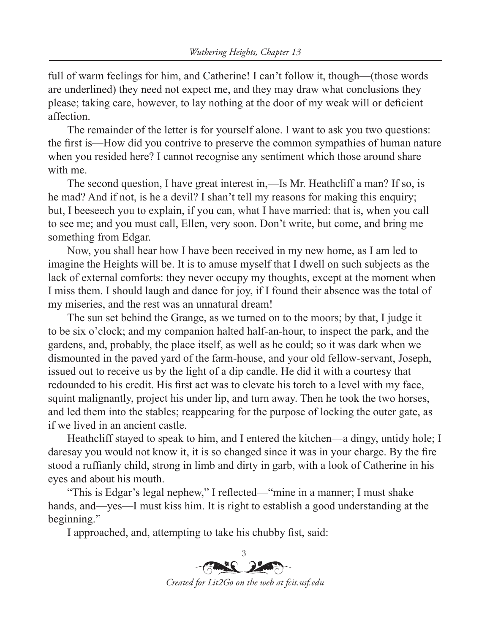full of warm feelings for him, and Catherine! I can't follow it, though—(those words are underlined) they need not expect me, and they may draw what conclusions they please; taking care, however, to lay nothing at the door of my weak will or deficient affection.

The remainder of the letter is for yourself alone. I want to ask you two questions: the first is—How did you contrive to preserve the common sympathies of human nature when you resided here? I cannot recognise any sentiment which those around share with me.

The second question, I have great interest in,—Is Mr. Heathcliff a man? If so, is he mad? And if not, is he a devil? I shan't tell my reasons for making this enquiry; but, I beeseech you to explain, if you can, what I have married: that is, when you call to see me; and you must call, Ellen, very soon. Don't write, but come, and bring me something from Edgar.

Now, you shall hear how I have been received in my new home, as I am led to imagine the Heights will be. It is to amuse myself that I dwell on such subjects as the lack of external comforts: they never occupy my thoughts, except at the moment when I miss them. I should laugh and dance for joy, if I found their absence was the total of my miseries, and the rest was an unnatural dream!

The sun set behind the Grange, as we turned on to the moors; by that, I judge it to be six o'clock; and my companion halted half-an-hour, to inspect the park, and the gardens, and, probably, the place itself, as well as he could; so it was dark when we dismounted in the paved yard of the farm-house, and your old fellow-servant, Joseph, issued out to receive us by the light of a dip candle. He did it with a courtesy that redounded to his credit. His first act was to elevate his torch to a level with my face, squint malignantly, project his under lip, and turn away. Then he took the two horses, and led them into the stables; reappearing for the purpose of locking the outer gate, as if we lived in an ancient castle.

Heathcliff stayed to speak to him, and I entered the kitchen—a dingy, untidy hole; I daresay you would not know it, it is so changed since it was in your charge. By the fire stood a ruffianly child, strong in limb and dirty in garb, with a look of Catherine in his eyes and about his mouth.

"This is Edgar's legal nephew," I reflected—"mine in a manner; I must shake hands, and—yes—I must kiss him. It is right to establish a good understanding at the beginning."

I approached, and, attempting to take his chubby fist, said:

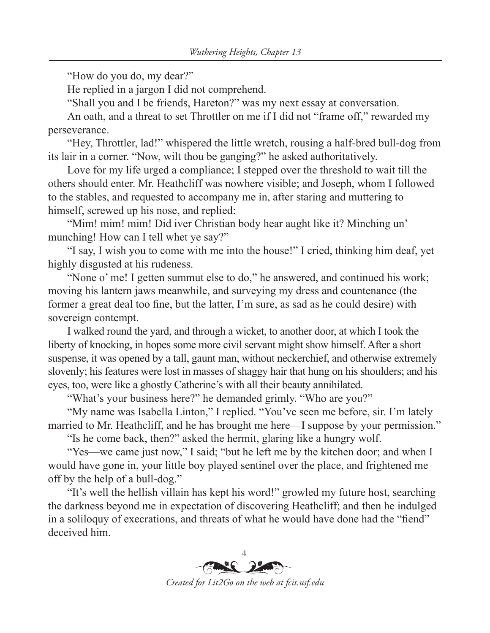"How do you do, my dear?"

He replied in a jargon I did not comprehend.

"Shall you and I be friends, Hareton?" was my next essay at conversation.

An oath, and a threat to set Throttler on me if I did not "frame off," rewarded my perseverance.

"Hey, Throttler, lad!" whispered the little wretch, rousing a half-bred bull-dog from its lair in a corner. "Now, wilt thou be ganging?" he asked authoritatively.

Love for my life urged a compliance; I stepped over the threshold to wait till the others should enter. Mr. Heathcliff was nowhere visible; and Joseph, whom I followed to the stables, and requested to accompany me in, after staring and muttering to himself, screwed up his nose, and replied:

"Mim! mim! mim! Did iver Christian body hear aught like it? Minching un' munching! How can I tell whet ye say?"

"I say, I wish you to come with me into the house!" I cried, thinking him deaf, yet highly disgusted at his rudeness.

"None o' me! I getten summut else to do," he answered, and continued his work; moving his lantern jaws meanwhile, and surveying my dress and countenance (the former a great deal too fine, but the latter, I'm sure, as sad as he could desire) with sovereign contempt.

I walked round the yard, and through a wicket, to another door, at which I took the liberty of knocking, in hopes some more civil servant might show himself. After a short suspense, it was opened by a tall, gaunt man, without neckerchief, and otherwise extremely slovenly; his features were lost in masses of shaggy hair that hung on his shoulders; and his eyes, too, were like a ghostly Catherine's with all their beauty annihilated.

"What's your business here?" he demanded grimly. "Who are you?"

"My name was Isabella Linton," I replied. "You've seen me before, sir. I'm lately married to Mr. Heathcliff, and he has brought me here—I suppose by your permission."

"Is he come back, then?" asked the hermit, glaring like a hungry wolf.

"Yes—we came just now," I said; "but he left me by the kitchen door; and when I would have gone in, your little boy played sentinel over the place, and frightened me off by the help of a bull-dog."

"It's well the hellish villain has kept his word!" growled my future host, searching the darkness beyond me in expectation of discovering Heathcliff; and then he indulged in a soliloquy of execrations, and threats of what he would have done had the "fiend" deceived him.



*Created for Lit2Go on the web at fcit.usf.edu*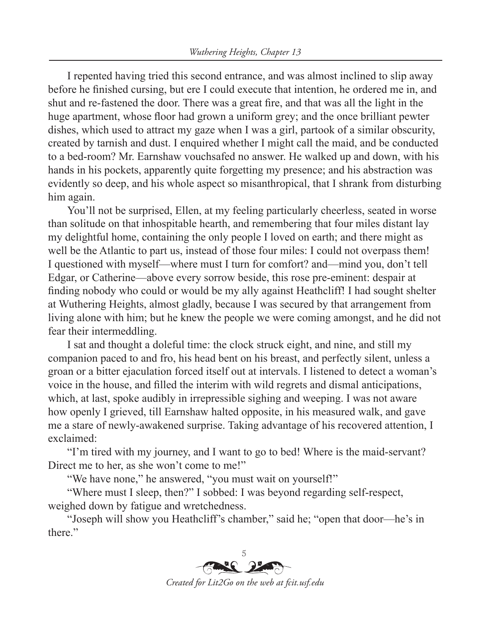I repented having tried this second entrance, and was almost inclined to slip away before he finished cursing, but ere I could execute that intention, he ordered me in, and shut and re-fastened the door. There was a great fire, and that was all the light in the huge apartment, whose floor had grown a uniform grey; and the once brilliant pewter dishes, which used to attract my gaze when I was a girl, partook of a similar obscurity, created by tarnish and dust. I enquired whether I might call the maid, and be conducted to a bed-room? Mr. Earnshaw vouchsafed no answer. He walked up and down, with his hands in his pockets, apparently quite forgetting my presence; and his abstraction was evidently so deep, and his whole aspect so misanthropical, that I shrank from disturbing him again.

You'll not be surprised, Ellen, at my feeling particularly cheerless, seated in worse than solitude on that inhospitable hearth, and remembering that four miles distant lay my delightful home, containing the only people I loved on earth; and there might as well be the Atlantic to part us, instead of those four miles: I could not overpass them! I questioned with myself—where must I turn for comfort? and—mind you, don't tell Edgar, or Catherine—above every sorrow beside, this rose pre-eminent: despair at finding nobody who could or would be my ally against Heathcliff! I had sought shelter at Wuthering Heights, almost gladly, because I was secured by that arrangement from living alone with him; but he knew the people we were coming amongst, and he did not fear their intermeddling.

I sat and thought a doleful time: the clock struck eight, and nine, and still my companion paced to and fro, his head bent on his breast, and perfectly silent, unless a groan or a bitter ejaculation forced itself out at intervals. I listened to detect a woman's voice in the house, and filled the interim with wild regrets and dismal anticipations, which, at last, spoke audibly in irrepressible sighing and weeping. I was not aware how openly I grieved, till Earnshaw halted opposite, in his measured walk, and gave me a stare of newly-awakened surprise. Taking advantage of his recovered attention, I exclaimed:

"I'm tired with my journey, and I want to go to bed! Where is the maid-servant? Direct me to her, as she won't come to me!"

"We have none," he answered, "you must wait on yourself!"

"Where must I sleep, then?" I sobbed: I was beyond regarding self-respect, weighed down by fatigue and wretchedness.

"Joseph will show you Heathcliff's chamber," said he; "open that door—he's in there."



*Created for Lit2Go on the web at fcit.usf.edu*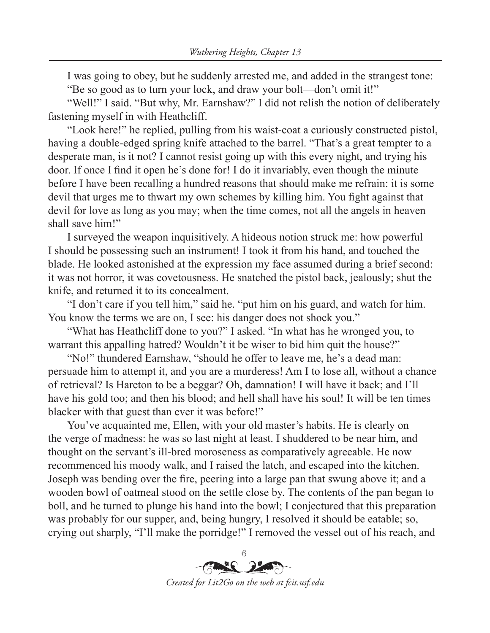I was going to obey, but he suddenly arrested me, and added in the strangest tone: "Be so good as to turn your lock, and draw your bolt—don't omit it!"

"Well!" I said. "But why, Mr. Earnshaw?" I did not relish the notion of deliberately fastening myself in with Heathcliff.

"Look here!" he replied, pulling from his waist-coat a curiously constructed pistol, having a double-edged spring knife attached to the barrel. "That's a great tempter to a desperate man, is it not? I cannot resist going up with this every night, and trying his door. If once I find it open he's done for! I do it invariably, even though the minute before I have been recalling a hundred reasons that should make me refrain: it is some devil that urges me to thwart my own schemes by killing him. You fight against that devil for love as long as you may; when the time comes, not all the angels in heaven shall save him!"

I surveyed the weapon inquisitively. A hideous notion struck me: how powerful I should be possessing such an instrument! I took it from his hand, and touched the blade. He looked astonished at the expression my face assumed during a brief second: it was not horror, it was covetousness. He snatched the pistol back, jealously; shut the knife, and returned it to its concealment.

"I don't care if you tell him," said he. "put him on his guard, and watch for him. You know the terms we are on, I see: his danger does not shock you."

"What has Heathcliff done to you?" I asked. "In what has he wronged you, to warrant this appalling hatred? Wouldn't it be wiser to bid him quit the house?"

"No!" thundered Earnshaw, "should he offer to leave me, he's a dead man: persuade him to attempt it, and you are a murderess! Am I to lose all, without a chance of retrieval? Is Hareton to be a beggar? Oh, damnation! I will have it back; and I'll have his gold too; and then his blood; and hell shall have his soul! It will be ten times blacker with that guest than ever it was before!"

You've acquainted me, Ellen, with your old master's habits. He is clearly on the verge of madness: he was so last night at least. I shuddered to be near him, and thought on the servant's ill-bred moroseness as comparatively agreeable. He now recommenced his moody walk, and I raised the latch, and escaped into the kitchen. Joseph was bending over the fire, peering into a large pan that swung above it; and a wooden bowl of oatmeal stood on the settle close by. The contents of the pan began to boll, and he turned to plunge his hand into the bowl; I conjectured that this preparation was probably for our supper, and, being hungry, I resolved it should be eatable; so, crying out sharply, "I'll make the porridge!" I removed the vessel out of his reach, and

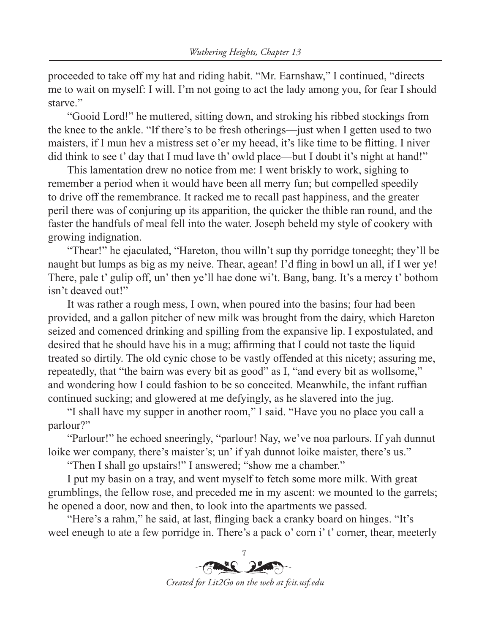proceeded to take off my hat and riding habit. "Mr. Earnshaw," I continued, "directs me to wait on myself: I will. I'm not going to act the lady among you, for fear I should starve."

"Gooid Lord!" he muttered, sitting down, and stroking his ribbed stockings from the knee to the ankle. "If there's to be fresh otherings—just when I getten used to two maisters, if I mun hev a mistress set o'er my heead, it's like time to be flitting. I niver did think to see t' day that I mud lave th' owld place—but I doubt it's night at hand!"

This lamentation drew no notice from me: I went briskly to work, sighing to remember a period when it would have been all merry fun; but compelled speedily to drive off the remembrance. It racked me to recall past happiness, and the greater peril there was of conjuring up its apparition, the quicker the thible ran round, and the faster the handfuls of meal fell into the water. Joseph beheld my style of cookery with growing indignation.

"Thear!" he ejaculated, "Hareton, thou willn't sup thy porridge toneeght; they'll be naught but lumps as big as my neive. Thear, agean! I'd fling in bowl un all, if I wer ye! There, pale t' gulip off, un' then ye'll hae done wi't. Bang, bang. It's a mercy t' bothom isn't deaved out!"

It was rather a rough mess, I own, when poured into the basins; four had been provided, and a gallon pitcher of new milk was brought from the dairy, which Hareton seized and comenced drinking and spilling from the expansive lip. I expostulated, and desired that he should have his in a mug; affirming that I could not taste the liquid treated so dirtily. The old cynic chose to be vastly offended at this nicety; assuring me, repeatedly, that "the bairn was every bit as good" as I, "and every bit as wollsome," and wondering how I could fashion to be so conceited. Meanwhile, the infant ruffian continued sucking; and glowered at me defyingly, as he slavered into the jug.

"I shall have my supper in another room," I said. "Have you no place you call a parlour?"

"Parlour!" he echoed sneeringly, "parlour! Nay, we've noa parlours. If yah dunnut loike wer company, there's maister's; un' if yah dunnot loike maister, there's us."

"Then I shall go upstairs!" I answered; "show me a chamber."

I put my basin on a tray, and went myself to fetch some more milk. With great grumblings, the fellow rose, and preceded me in my ascent: we mounted to the garrets; he opened a door, now and then, to look into the apartments we passed.

"Here's a rahm," he said, at last, flinging back a cranky board on hinges. "It's weel eneugh to ate a few porridge in. There's a pack o' corn i' t' corner, thear, meeterly

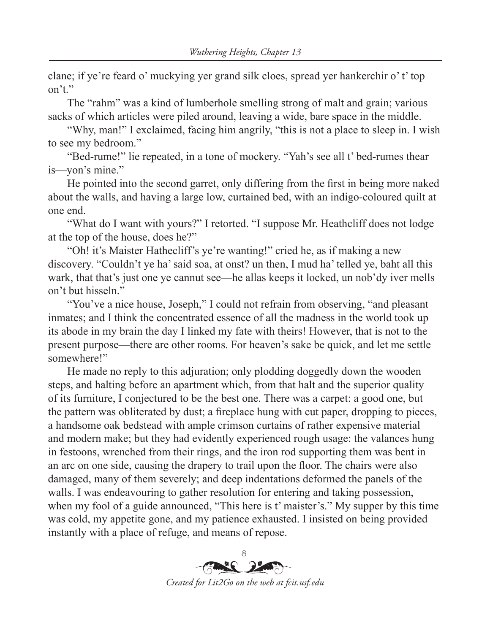clane; if ye're feard o' muckying yer grand silk cloes, spread yer hankerchir o' t' top on't"

The "rahm" was a kind of lumberhole smelling strong of malt and grain; various sacks of which articles were piled around, leaving a wide, bare space in the middle.

"Why, man!" I exclaimed, facing him angrily, "this is not a place to sleep in. I wish to see my bedroom."

"Bed-rume!" lie repeated, in a tone of mockery. "Yah's see all t' bed-rumes thear is—yon's mine."

He pointed into the second garret, only differing from the first in being more naked about the walls, and having a large low, curtained bed, with an indigo-coloured quilt at one end.

"What do I want with yours?" I retorted. "I suppose Mr. Heathcliff does not lodge at the top of the house, does he?"

"Oh! it's Maister Hathecliff's ye're wanting!" cried he, as if making a new discovery. "Couldn't ye ha' said soa, at onst? un then, I mud ha' telled ye, baht all this wark, that that's just one ye cannut see—he allas keeps it locked, un nob'dy iver mells on't but hisseln."

"You've a nice house, Joseph," I could not refrain from observing, "and pleasant inmates; and I think the concentrated essence of all the madness in the world took up its abode in my brain the day I linked my fate with theirs! However, that is not to the present purpose—there are other rooms. For heaven's sake be quick, and let me settle somewhere!"

He made no reply to this adjuration; only plodding doggedly down the wooden steps, and halting before an apartment which, from that halt and the superior quality of its furniture, I conjectured to be the best one. There was a carpet: a good one, but the pattern was obliterated by dust; a fireplace hung with cut paper, dropping to pieces, a handsome oak bedstead with ample crimson curtains of rather expensive material and modern make; but they had evidently experienced rough usage: the valances hung in festoons, wrenched from their rings, and the iron rod supporting them was bent in an arc on one side, causing the drapery to trail upon the floor. The chairs were also damaged, many of them severely; and deep indentations deformed the panels of the walls. I was endeavouring to gather resolution for entering and taking possession, when my fool of a guide announced, "This here is t' maister's." My supper by this time was cold, my appetite gone, and my patience exhausted. I insisted on being provided instantly with a place of refuge, and means of repose.

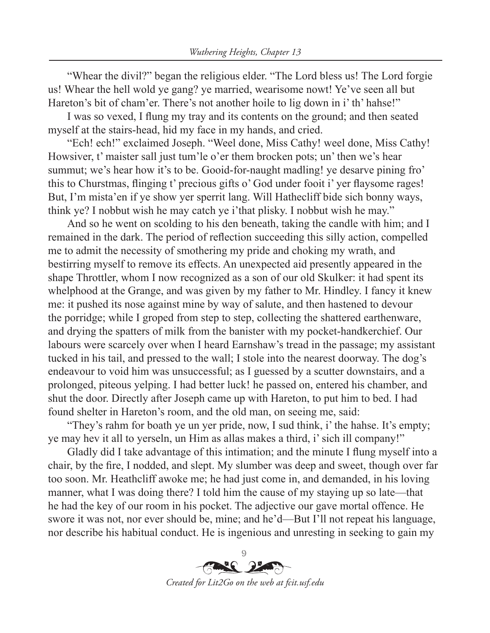"Whear the divil?" began the religious elder. "The Lord bless us! The Lord forgie us! Whear the hell wold ye gang? ye married, wearisome nowt! Ye've seen all but Hareton's bit of cham'er. There's not another hoile to lig down in i' th' hahse!"

I was so vexed, I flung my tray and its contents on the ground; and then seated myself at the stairs-head, hid my face in my hands, and cried.

"Ech! ech!" exclaimed Joseph. "Weel done, Miss Cathy! weel done, Miss Cathy! Howsiver, t' maister sall just tum'le o'er them brocken pots; un' then we's hear summut; we's hear how it's to be. Gooid-for-naught madling! ye desarve pining fro' this to Churstmas, flinging t' precious gifts o' God under fooit i' yer flaysome rages! But, I'm mista'en if ye show yer sperrit lang. Will Hathecliff bide sich bonny ways, think ye? I nobbut wish he may catch ye i'that plisky. I nobbut wish he may."

And so he went on scolding to his den beneath, taking the candle with him; and I remained in the dark. The period of reflection succeeding this silly action, compelled me to admit the necessity of smothering my pride and choking my wrath, and bestirring myself to remove its effects. An unexpected aid presently appeared in the shape Throttler, whom I now recognized as a son of our old Skulker: it had spent its whelphood at the Grange, and was given by my father to Mr. Hindley. I fancy it knew me: it pushed its nose against mine by way of salute, and then hastened to devour the porridge; while I groped from step to step, collecting the shattered earthenware, and drying the spatters of milk from the banister with my pocket-handkerchief. Our labours were scarcely over when I heard Earnshaw's tread in the passage; my assistant tucked in his tail, and pressed to the wall; I stole into the nearest doorway. The dog's endeavour to void him was unsuccessful; as I guessed by a scutter downstairs, and a prolonged, piteous yelping. I had better luck! he passed on, entered his chamber, and shut the door. Directly after Joseph came up with Hareton, to put him to bed. I had found shelter in Hareton's room, and the old man, on seeing me, said:

"They's rahm for boath ye un yer pride, now, I sud think, i' the hahse. It's empty; ye may hev it all to yerseln, un Him as allas makes a third, i' sich ill company!"

Gladly did I take advantage of this intimation; and the minute I flung myself into a chair, by the fire, I nodded, and slept. My slumber was deep and sweet, though over far too soon. Mr. Heathcliff awoke me; he had just come in, and demanded, in his loving manner, what I was doing there? I told him the cause of my staying up so late—that he had the key of our room in his pocket. The adjective our gave mortal offence. He swore it was not, nor ever should be, mine; and he'd—But I'll not repeat his language, nor describe his habitual conduct. He is ingenious and unresting in seeking to gain my